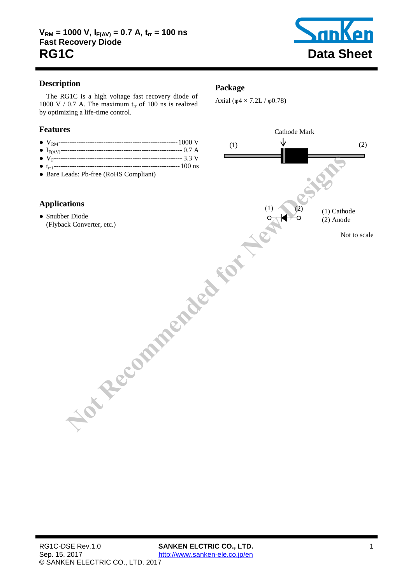

# **Description**

The RG1C is a high voltage fast recovery diode of [1000](#page-1-0) V / [0.7](#page-1-1) A. The maximum  $t_{rr}$  of [100](#page-1-2) ns is realized by optimizing a life-time control.

#### **Features**

- VRM---------------------------------------------------- [1000](#page-1-0) V
- IF(AV)------------------------------------------------------ [0.7](#page-1-1) A
- VF--------------------------------------------------------- 3.3 V
- trr1 -------------------------------------------------------- 100 ns ● Bare Leads: Pb-free (RoHS Compliant)

### **Applications**

● Snubber Diode (Flyback Converter, etc.)

#### **Package**

Axial ( $\varphi$ 4 × 7.2L /  $\varphi$ 0.78)

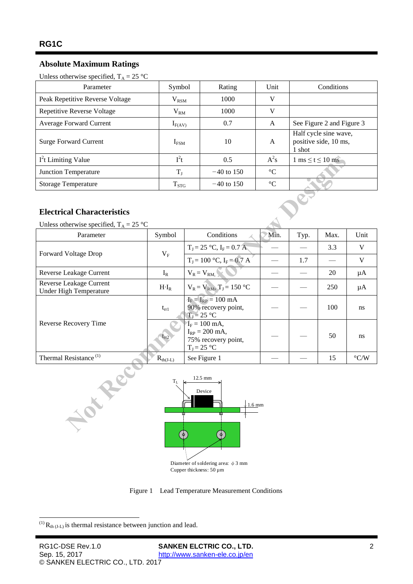# **Absolute Maximum Ratings**

<span id="page-1-1"></span><span id="page-1-0"></span>Unless otherwise specified,  $T_A = 25 \text{ °C}$ 

| Parameter                         | Symbol           | Rating       | Unit            | <b>Conditions</b>                                        |
|-----------------------------------|------------------|--------------|-----------------|----------------------------------------------------------|
| Peak Repetitive Reverse Voltage   | $\rm V_{RSM}$    | 1000         | V               |                                                          |
| <b>Repetitive Reverse Voltage</b> | $\rm V_{RM}$     | 1000         | V               |                                                          |
| Average Forward Current           | $I_{F(AV)}$      | 0.7          | A               | See Figure 2 and Figure 3                                |
| <b>Surge Forward Current</b>      | I <sub>FSM</sub> | 10           | A               | Half cycle sine wave,<br>positive side, 10 ms,<br>1 shot |
| $I2t$ Limiting Value              | $I^2t$           | 0.5          | $A^2s$          | $1 \text{ ms} \leq t \leq 10 \text{ ms}$                 |
| Junction Temperature              | $T_{I}$          | $-40$ to 150 | $^{\circ}C$     |                                                          |
| <b>Storage Temperature</b>        | $T_{STG}$        | $-40$ to 150 | $\rm ^{\circ}C$ |                                                          |

### **Electrical Characteristics**

| $I2t$ Limiting Value                                                         | $I^2t$               |                                                                               | 0.5                           | $A^2s$          | $1 \text{ ms} \leq t \leq 10 \text{ ms}$ |      |                    |  |  |  |  |
|------------------------------------------------------------------------------|----------------------|-------------------------------------------------------------------------------|-------------------------------|-----------------|------------------------------------------|------|--------------------|--|--|--|--|
| Junction Temperature                                                         | $T_{\rm J}$          |                                                                               | $-40$ to 150                  | $\rm ^{\circ}C$ |                                          |      |                    |  |  |  |  |
| <b>Storage Temperature</b>                                                   | $T_{STG}$            |                                                                               | $-40$ to 150                  | $\rm ^{\circ}C$ |                                          |      |                    |  |  |  |  |
| <b>Electrical Characteristics</b>                                            |                      |                                                                               |                               |                 |                                          |      |                    |  |  |  |  |
| Unless otherwise specified, $T_A = 25$ °C<br>Parameter                       | Symbol               | Conditions                                                                    |                               | Min.            | Typ.                                     | Max. | Unit               |  |  |  |  |
| Forward Voltage Drop                                                         | $V_F$                |                                                                               | $T_J = 25 °C$ , $I_F = 0.7 A$ |                 |                                          | 3.3  | V                  |  |  |  |  |
|                                                                              |                      |                                                                               | $T_J = 100$ °C, $I_F = 0.7$ A |                 | 1.7                                      |      | $\mathbf V$        |  |  |  |  |
| Reverse Leakage Current                                                      | $I_R$                | $V_R = V_{RM}$                                                                |                               |                 |                                          | 20   | μA                 |  |  |  |  |
| Reverse Leakage Current<br><b>Under High Temperature</b>                     | $H \cdot I_R$        | $V_R = V_{RM}$ , $T_J = 150 °C$                                               |                               |                 |                                          | 250  | μA                 |  |  |  |  |
| Reverse Recovery Time                                                        | $t_{rr1}$            | $I_F = I_{RP} = 100$ mA<br>90% recovery point,<br>$T_J = 25 °C$               |                               |                 |                                          | 100  | ns                 |  |  |  |  |
|                                                                              | $t_{rr2}$            | $I_F = 100$ mA,<br>$I_{RP} = 200$ mA,<br>75% recovery point,<br>$T_J = 25 °C$ |                               |                 |                                          | 50   | ns                 |  |  |  |  |
| Thermal Resistance <sup>(1)</sup>                                            | $R_{\text{th}(J-L)}$ |                                                                               | See Figure 1                  |                 |                                          | 15   | $\rm ^{\circ} C/W$ |  |  |  |  |
| 12.5 mm<br>$\rm T_L$<br>HOLT<br>Device<br>$\downarrow$ 1.6 mm<br>ш<br>Ħ<br>Φ |                      |                                                                               |                               |                 |                                          |      |                    |  |  |  |  |

<span id="page-1-3"></span><span id="page-1-2"></span>

Figure 1 Lead Temperature Measurement Conditions

<span id="page-1-4"></span>-

 $^{(1)}$  R<sub>th (J-L)</sub> is thermal resistance between junction and lead.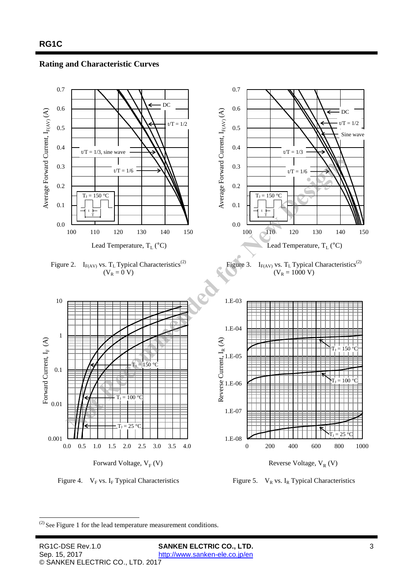<span id="page-2-1"></span>**Rating and Characteristic Curves** 

<span id="page-2-0"></span>

<sup>-</sup> $(2)$  See [Figure 1](#page-1-4) for the lead temperature measurement conditions.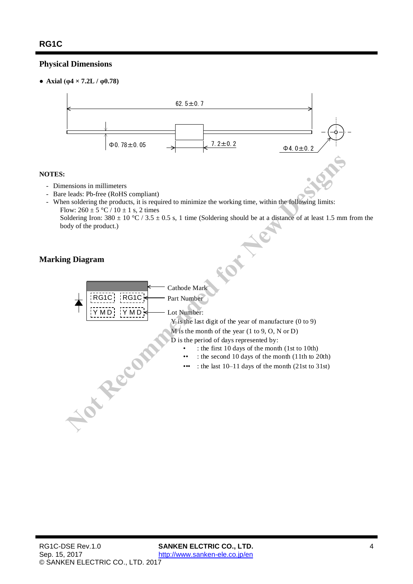# **Physical Dimensions**

• **Axial** ( $\varphi$ 4 × 7.2L /  $\varphi$ 0.78)



#### **NOTES:**

- Dimensions in millimeters
- Bare leads: Pb-free (RoHS compliant)
- When soldering the products, it is required to minimize the working time, within the following limits: Flow:  $260 \pm 5$  °C /  $10 \pm 1$  s, 2 times

Soldering Iron:  $380 \pm 10$  °C /  $3.5 \pm 0.5$  s, 1 time (Soldering should be at a distance of at least 1.5 mm from the body of the product.)

### **Marking Diagram**